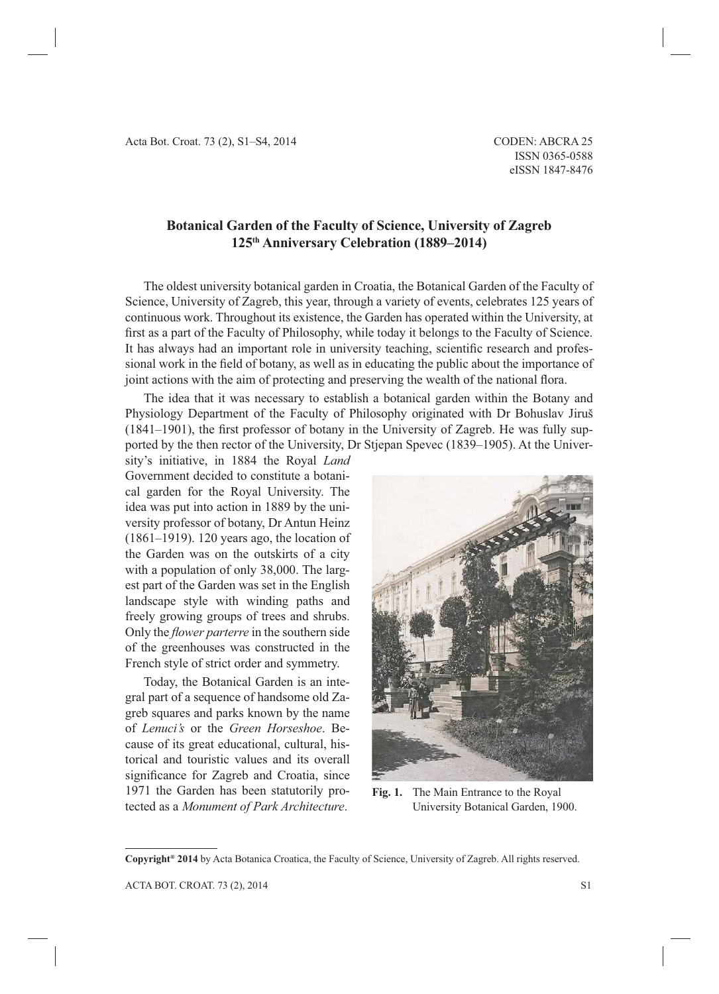## **Botanical Garden of the Faculty of Science, University of Zagreb 125th Anniversary Celebration (1889–2014)**

The oldest university botanical garden in Croatia, the Botanical Garden of the Faculty of Science, University of Zagreb, this year, through a variety of events, celebrates 125 years of continuous work. Throughout its existence, the Garden has operated within the University, at first as a part of the Faculty of Philosophy, while today it belongs to the Faculty of Science. It has always had an important role in university teaching, scientific research and professional work in the field of botany, as well as in educating the public about the importance of joint actions with the aim of protecting and preserving the wealth of the national flora.

The idea that it was necessary to establish a botanical garden within the Botany and Physiology Department of the Faculty of Philosophy originated with Dr Bohuslav Jiruš  $(1841–1901)$ , the first professor of botany in the University of Zagreb. He was fully supported by the then rector of the University, Dr Stjepan Spevec (1839–1905). At the Univer-

sity's initiative, in 1884 the Royal *Land* Government decided to constitute a botanical garden for the Royal University. The idea was put into action in 1889 by the university professor of botany, Dr Antun Heinz (1861–1919). 120 years ago, the location of the Garden was on the outskirts of a city with a population of only 38,000. The largest part of the Garden was set in the English landscape style with winding paths and freely growing groups of trees and shrubs. Only the *flower parterre* in the southern side of the greenhouses was constructed in the French style of strict order and symmetry.

Today, the Botanical Garden is an integral part of a sequence of handsome old Zagreb squares and parks known by the name of *Lenuci's* or the *Green Horseshoe*. Because of its great educational, cultural, historical and touristic values and its overall significance for Zagreb and Croatia, since 1971 the Garden has been statutorily protected as a *Monument of Park Architecture*.



**Fig. 1.** The Main Entrance to the Royal University Botanical Garden, 1900.

**Copyright® 2014** by Acta Botanica Croatica, the Faculty of Science, University of Zagreb. All rights reserved.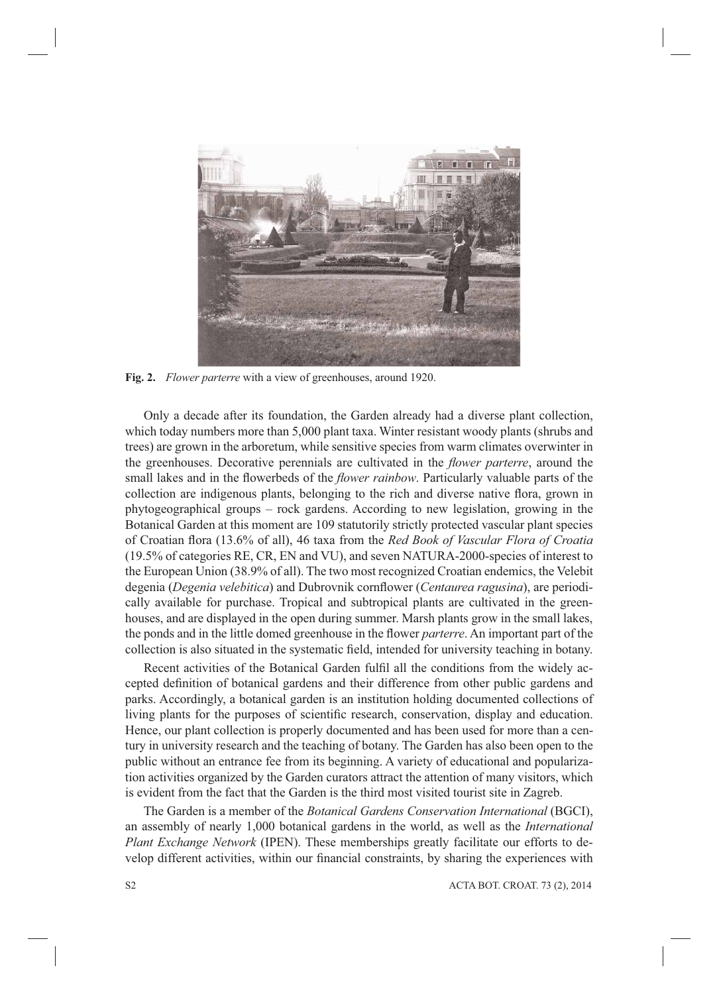

**Fig. 2.** *Flower parterre* with a view of greenhouses, around 1920.

Only a decade after its foundation, the Garden already had a diverse plant collection, which today numbers more than 5,000 plant taxa. Winter resistant woody plants (shrubs and trees) are grown in the arboretum, while sensitive species from warm climates overwinter in the greenhouses. Decorative perennials are cultivated in the *flower parterre*, around the small lakes and in the flowerbeds of the *flower rainbow*. Particularly valuable parts of the collection are indigenous plants, belonging to the rich and diverse native flora, grown in phytogeographical groups – rock gardens. According to new legislation, growing in the Botanical Garden at this moment are 109 statutorily strictly protected vascular plant species of Croatian flora (13.6% of all), 46 taxa from the *Red Book of Vascular Flora of Croatia* (19.5% of categories RE, CR, EN and VU), and seven NATURA-2000-species of interest to the European Union (38.9% of all). The two most recognized Croatian endemics, the Velebit degenia (*Degenia velebitica*) and Dubrovnik cornflower (*Centaurea ragusina*), are periodically available for purchase. Tropical and subtropical plants are cultivated in the greenhouses, and are displayed in the open during summer. Marsh plants grow in the small lakes, the ponds and in the little domed greenhouse in the flower *parterre*. An important part of the collection is also situated in the systematic field, intended for university teaching in botany.

Recent activities of the Botanical Garden fulfil all the conditions from the widely accepted definition of botanical gardens and their difference from other public gardens and parks. Accordingly, a botanical garden is an institution holding documented collections of living plants for the purposes of scientific research, conservation, display and education. Hence, our plant collection is properly documented and has been used for more than a century in university research and the teaching of botany. The Garden has also been open to the public without an entrance fee from its beginning. A variety of educational and popularization activities organized by the Garden curators attract the attention of many visitors, which is evident from the fact that the Garden is the third most visited tourist site in Zagreb.

The Garden is a member of the *Botanical Gardens Conservation International* (BGCI), an assembly of nearly 1,000 botanical gardens in the world, as well as the *International Plant Exchange Network* (IPEN). These memberships greatly facilitate our efforts to develop different activities, within our financial constraints, by sharing the experiences with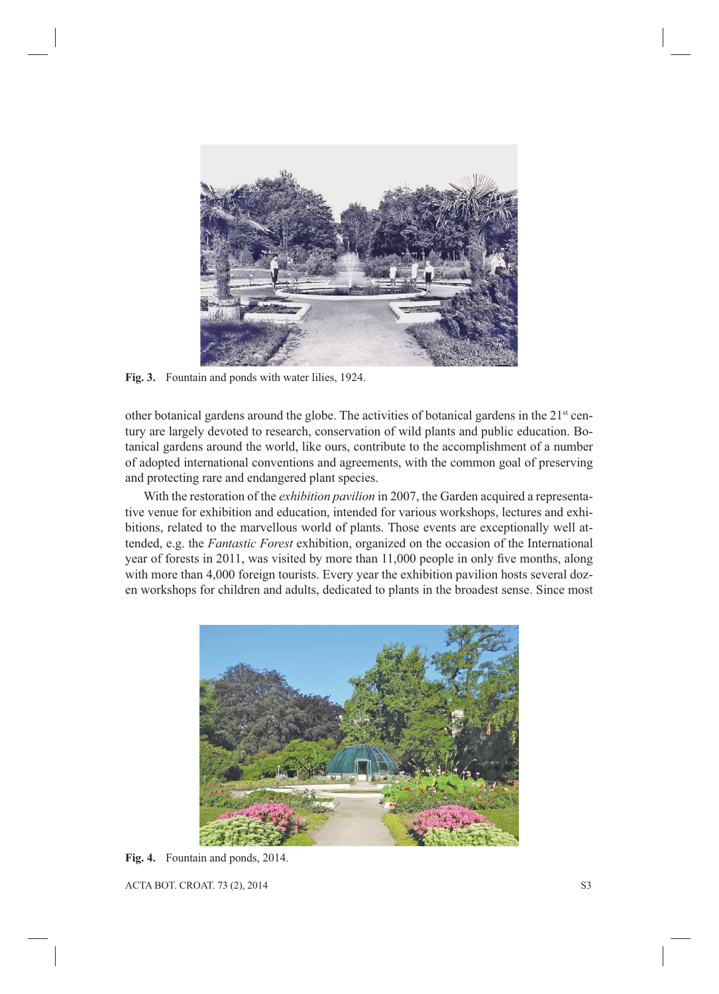

Fig. 3. Fountain and ponds with water lilies, 1924.

other botanical gardens around the globe. The activities of botanical gardens in the  $21<sup>st</sup>$  century are largely devoted to research, conservation of wild plants and public education. Botanical gardens around the world, like ours, contribute to the accomplishment of a number of adopted international conventions and agreements, with the common goal of preserving and protecting rare and endangered plant species.

With the restoration of the *exhibition pavilion* in 2007, the Garden acquired a representative venue for exhibition and education, intended for various workshops, lectures and exhibitions, related to the marvellous world of plants. Those events are exceptionally well attended, e.g. the *Fantastic Forest* exhibition, organized on the occasion of the International year of forests in 2011, was visited by more than 11,000 people in only five months, along with more than 4,000 foreign tourists. Every year the exhibition pavilion hosts several dozen workshops for children and adults, dedicated to plants in the broadest sense. Since most



**Fig. 4.** Fountain and ponds, 2014.